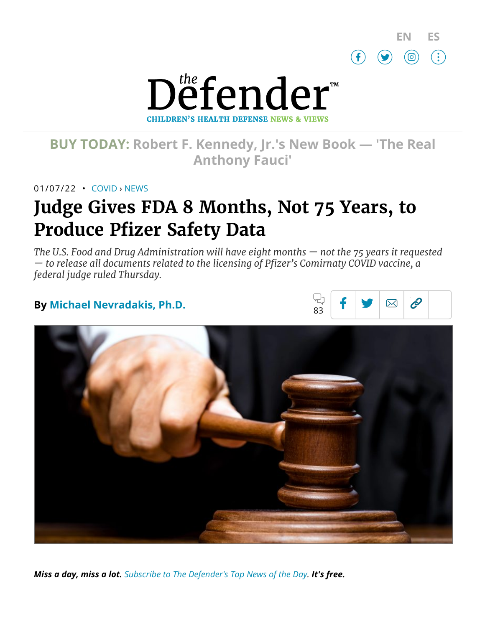



# **BUY TODAY: Robert F. [Kennedy,](https://www.amazon.com/Real-Anthony-Fauci-Democracy-Childrens/dp/1510766804) Jr.'s New Book — 'The Real Anthony Fauci'**

01/07/22 • [COVID](https://childrenshealthdefense.org/defender_category/covid) › [NEWS](https://childrenshealthdefense.org/defender-news)

# **Judge Gives FDA 8 Months, Not 75 Years, to Produce Pfizer Safety Data**

*The U.S. Food and Drug Administration will have eight months — not the 75 years it requested — to release all documents related to the licensing of Pfizer's Comirnaty COVID vaccine, a federal judge ruled Thursday.*

## **By [Michael Nevradakis,](https://childrenshealthdefense.org/authors/michael-nevradakis-ph-d/) Ph.D.**





*Miss a day, miss a lot. Subscribe to [The Defender's](https://childrenshealthdefense.org/about-us/sign-up/?utm_source=top_of_article&utm_medium=the_defender&utm_campaign=sign_ups) Top News of the Day. It's free.*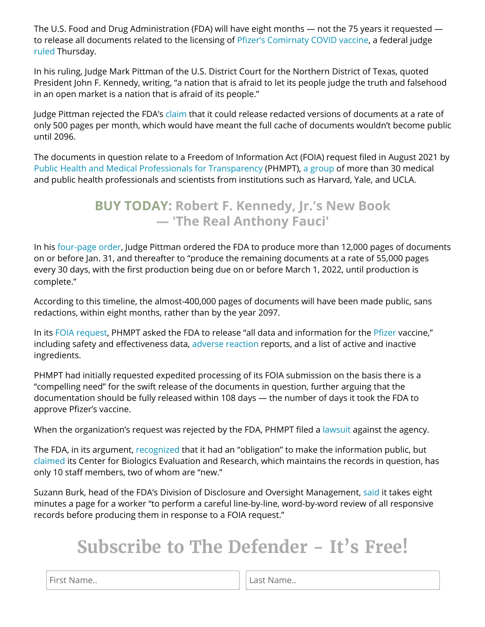The U.S. Food and Drug Administration (FDA) will have eight months — not the 75 years it requested to release all documents related to the licensing of Pfizer's [Comirnaty](https://childrenshealthdefense.org/defender/childrens-health-defense-sues-fda-pfizer-comirnaty-covid-vaccine/) COVID vaccine, a federal judge [ruled](https://childrenshealthdefense.org/wp-content/uploads/ORDER_2022_01_06-9e24e298ae561d16d68a3950ab57077b.pdf) Thursday.

In his ruling, Judge Mark Pittman of the U.S. District Court for the Northern District of Texas, quoted President John F. Kennedy, writing, "a nation that is afraid to let its people judge the truth and falsehood in an open market is a nation that is afraid of its people."

Judge Pittman rejected the FDA's [claim](https://childrenshealthdefense.org/defender/fda-75-years-release-pfizer-vaccine-documents/) that it could release redacted versions of documents at a rate of only 500 pages per month, which would have meant the full cache of documents wouldn't become public until 2096.

The documents in question relate to a Freedom of Information Act (FOIA) request filed in August 2021 by Public Health and Medical Professionals for [Transparency](https://phmpt.org/) (PHMPT), a [group](https://phmpt.org/) of more than 30 medical and public health professionals and scientists from institutions such as Harvard, Yale, and UCLA.

## **BUY TODAY: Robert F. Kennedy, Jr.'s New Book — 'The [Real Anthony](https://www.amazon.com/Real-Anthony-Fauci-Democracy-Childrens/dp/1510766804) Fauci'**

In his [four-page](https://fingfx.thomsonreuters.com/gfx/legaldocs/gdvzykdllpw/Pittman%20FOIA%20Order.pdf) order, Judge Pittman ordered the FDA to produce more than 12,000 pages of documents on or before Jan. 31, and thereafter to "produce the remaining documents at a rate of 55,000 pages every 30 days, with the first production being due on or before March 1, 2022, until production is complete."

According to this timeline, the almost-400,000 pages of documents will have been made public, sans redactions, within eight months, rather than by the year 2097.

In its FOIA [request,](http://phmpt.org/wp-content/uploads/2021/10/IR0546-FDA-Pfizer-Approval-FINAL.pdf) PHMPT asked the FDA to release "all data and information for the [Pfizer](https://childrenshealthdefense.org/defender/pfizer-big-pharma-lobbying-law-protecting-whistleblowers/) vaccine," including safety and effectiveness data, adverse [reaction](https://childrenshealthdefense.org/defender/vaers-cdc-child-dies-pfizer-covid-vaccine/) reports, and a list of active and inactive ingredients.

PHMPT had initially requested expedited processing of its FOIA submission on the basis there is a "compelling need" for the swift release of the documents in question, further arguing that the documentation should be fully released within 108 days — the number of days it took the FDA to approve Pfizer's vaccine.

When the organization's request was rejected by the FDA, PHMPT filed a [lawsuit](http://phmpt.org/wp-content/uploads/2021/10/001-Complaint-101021.pdf) against the agency.

The FDA, in its argument, [recognized](https://www.reuters.com/legal/government/paramount-importance-judge-orders-fda-hasten-release-pfizer-vaccine-docs-2022-01-07/) that it had an "obligation" to make the information public, but [claimed](https://www.theepochtimes.com/mkt_breakingnews/fda-says-it-now-needs-75-years-to-fully-release-pfizer-covid-19-vaccine-data_4145410.html?utm_source=newsnoe&utm_medium=email&utm_campaign=breaking-2021-12-08-2&mktids=902f36705a2f729610cd4c937d87a3dc&est=Rzp1WEzkTqb3PY5oBHawpfeop2xMWMdtqRZRDZdlpU8l7qPSaQjy2%2FOL7THzYUHb) its Center for Biologics Evaluation and Research, which maintains the records in question, has only 10 staff members, two of whom are "new."

Suzann Burk, head of the FDA's Division of Disclosure and Oversight Management, [said](https://www.reuters.com/legal/government/paramount-importance-judge-orders-fda-hasten-release-pfizer-vaccine-docs-2022-01-07/) it takes eight minutes a page for a worker "to perform a careful line-by-line, word-by-word review of all responsive records before producing them in response to a FOIA request."

# **Subscribe to The Defender - It's Free!**

First Name.. **Last Name.. Last Name..**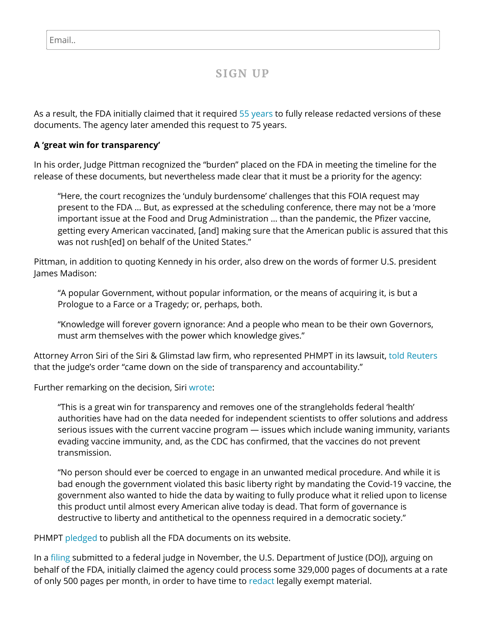### **SIGN UP**

As a result, the FDA initially claimed that it required 55 [years](https://childrenshealthdefense.org/defender/fda-licensing-pfizer-comirnaty-covid-vaccine/) to fully release redacted versions of these documents. The agency later amended this request to 75 years.

#### **A 'great win for transparency'**

In his order, Judge Pittman recognized the "burden" placed on the FDA in meeting the timeline for the release of these documents, but nevertheless made clear that it must be a priority for the agency:

"Here, the court recognizes the 'unduly burdensome' challenges that this FOIA request may present to the FDA … But, as expressed at the scheduling conference, there may not be a 'more important issue at the Food and Drug Administration … than the pandemic, the Pfizer vaccine, getting every American vaccinated, [and] making sure that the American public is assured that this was not rush[ed] on behalf of the United States."

Pittman, in addition to quoting Kennedy in his order, also drew on the words of former U.S. president James Madison:

"A popular Government, without popular information, or the means of acquiring it, is but a Prologue to a Farce or a Tragedy; or, perhaps, both.

"Knowledge will forever govern ignorance: And a people who mean to be their own Governors, must arm themselves with the power which knowledge gives."

Attorney Arron Siri of the Siri & Glimstad law firm, who represented PHMPT in its lawsuit, [told Reuters](https://www.reuters.com/legal/government/paramount-importance-judge-orders-fda-hasten-release-pfizer-vaccine-docs-2022-01-07/) that the judge's order "came down on the side of transparency and accountability."

Further remarking on the decision, Siri [wrote:](https://aaronsiri.substack.com/p/instead-of-fdas-requested-500-pages)

"This is a great win for transparency and removes one of the strangleholds federal 'health' authorities have had on the data needed for independent scientists to offer solutions and address serious issues with the current vaccine program — issues which include waning immunity, variants evading vaccine immunity, and, as the CDC has confirmed, that the vaccines do not prevent transmission.

"No person should ever be coerced to engage in an unwanted medical procedure. And while it is bad enough the government violated this basic liberty right by mandating the Covid-19 vaccine, the government also wanted to hide the data by waiting to fully produce what it relied upon to license this product until almost every American alive today is dead. That form of governance is destructive to liberty and antithetical to the openness required in a democratic society."

PHMPT [pledged](https://www.reuters.com/legal/government/paramount-importance-judge-orders-fda-hasten-release-pfizer-vaccine-docs-2022-01-07/) to publish all the FDA documents on its website.

In a [filing](https://www.sirillp.com/wp-content/uploads/2021/11/020-Second-Joint-Status-Report-8989f1fed17e2d919391d8df1978006e.pdf) submitted to a federal judge in November, the U.S. Department of Justice (DOJ), arguing on behalf of the FDA, initially claimed the agency could process some 329,000 pages of documents at a rate of only 500 pages per month, in order to have time to [redact](https://tmsnrt.rs/3qQLwGW) legally exempt material.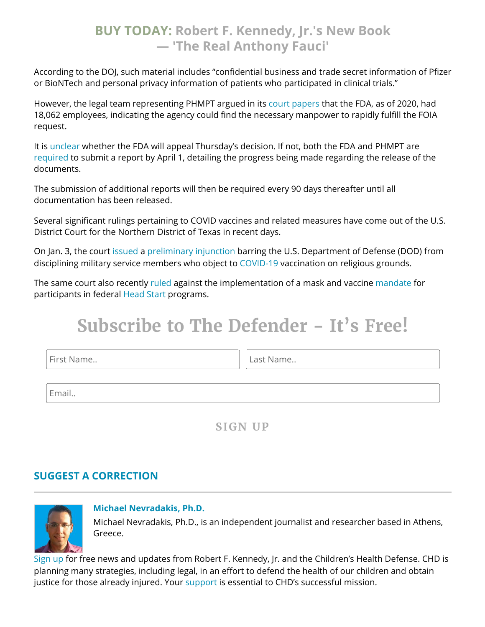## **BUY TODAY: Robert F. Kennedy, Jr.'s New Book — 'The [Real Anthony](https://www.amazon.com/Real-Anthony-Fauci-Democracy-Childrens/dp/1510766804) Fauci'**

According to the DOJ, such material includes "confidential business and trade secret information of Pfizer or BioNTech and personal privacy information of patients who participated in clinical trials."

However, the legal team representing PHMPT argued in its court [papers](https://fingfx.thomsonreuters.com/gfx/legaldocs/gdvzymjqrpw/FDA%20FOIA%20plaintiff%20brief.pdf) that the FDA, as of 2020, had 18,062 employees, indicating the agency could find the necessary manpower to rapidly fulfill the FOIA request.

It is [unclear](https://endpts.com/fda-loses-foia-suit-over-pfizer-vaccine-documents-must-release-55000-pages-per-month/) whether the FDA will appeal Thursday's decision. If not, both the FDA and PHMPT are [required](https://endpts.com/fda-loses-foia-suit-over-pfizer-vaccine-documents-must-release-55000-pages-per-month/) to submit a report by April 1, detailing the progress being made regarding the release of the documents.

The submission of additional reports will then be required every 90 days thereafter until all documentation has been released.

Several significant rulings pertaining to COVID vaccines and related measures have come out of the U.S. District Court for the Northern District of Texas in recent days.

On Jan. 3, the court [issued](https://childrenshealthdefense.org/defender/federal-judge-dod-disciplining-navy-seals-vaccine-mandate/) a [preliminary](https://firstliberty.org/wp-content/uploads/2022/01/Navy-SEALs-PI-Order-.pdf) injunction barring the U.S. Department of Defense (DOD) from disciplining military service members who object to [COVID-19](https://childrenshealthdefense.org/defender_category/covid/) vaccination on religious grounds.

The same court also recently [ruled](https://thepostmillennial.com/federal-judge-in-texas-orders-halt-on-bidens-vaccine-and-mask-mandates?utm_campaign=64502) against the implementation of a mask and vaccine [mandate](https://www.timesrecordnews.com/story/news/2021/12/18/joe-biden-head-start-covid-mask-vaccine-orders-under-fire-texas/8940899002/) for participants in federal [Head Start](https://www.acf.hhs.gov/ohs) programs.

# **Subscribe to The Defender - It's Free!**

First Name.. Last Name..

Email..

**SIGN UP**

### **SUGGEST A [CORRECTION](https://childrenshealthdefense.org/suggest-a-correction/)**



#### **[Michael Nevradakis,](https://childrenshealthdefense.org/authors/michael-nevradakis-ph-d/) Ph.D.**

Michael Nevradakis, Ph.D., is an independent journalist and researcher based in Athens, Greece.

[Sign](https://childrenshealthdefense.org/about-us/sign-up/) up for free news and updates from Robert F. Kennedy, Jr. and the Children's Health Defense. CHD is planning many strategies, including legal, in an effort to defend the health of our children and obtain justice for those already injured. Your [support](https://childrenshealthdefense.org/about-us/donate/) is essential to CHD's successful mission.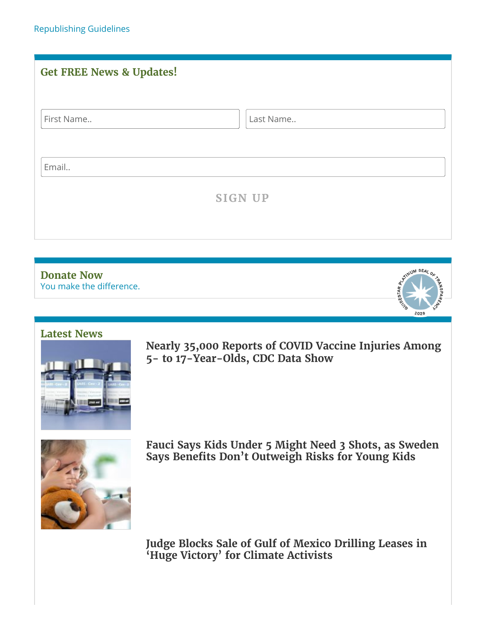<span id="page-4-0"></span>

| <b>Get FREE News &amp; Updates!</b> |                |
|-------------------------------------|----------------|
| First Name                          | Last Name      |
| Email                               |                |
|                                     | <b>SIGN UP</b> |



#### **[Latest](https://childrenshealthdefense.org/defender-news) News**



**Nearly 35,000 Reports of COVID Vaccine [Injuries Among](https://childrenshealthdefense.org/defender/vaers-cdc-covid-vaccine-injuries-children/) 5- to 17-Year-Olds, CDC Data Show**



**Fauci Says Kids Under 5 Might Need 3 Shots, as Sweden [Says Benefits Don't](https://childrenshealthdefense.org/defender/fauci-kids-under-5-might-need-3-shots/) Outweigh Risks for Young Kids**

**Judge [Blocks Sale](https://childrenshealthdefense.org/defender/judge-blocks-gulf-of-mexico-drilling-leases/) of Gulf of Mexico Drilling Leases in 'Huge Victory' for Climate Activists**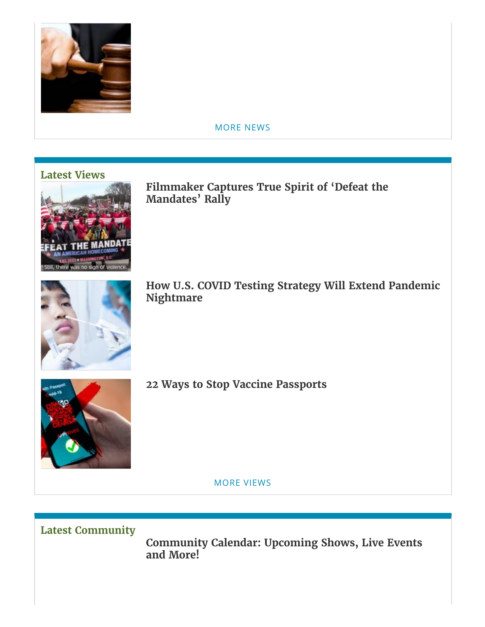

#### [MORE](https://childrenshealthdefense.org/defender-news) NEWS

### **[Latest](https://childrenshealthdefense.org/defender-views) Views**



**Filmmaker [Captures True](https://childrenshealthdefense.org/defender/dan-cohen-video-defeat-the-mandates/) Spirit of 'Defeat the Mandates' Rally**



**How U.S. COVID Testing Strategy Will Extend Pandemic [Nightmare](https://childrenshealthdefense.org/defender/us-covid-testing-strategy-pandemic-nightmare/)**



**22 Ways to Stop Vaccine [Passports](https://childrenshealthdefense.org/defender/22-ways-stop-vaccine-passports/)**

MORE [VIEWS](https://childrenshealthdefense.org/defender-views)

**Latest [Community](https://childrenshealthdefense.org/community)**

**[Community](https://live.childrenshealthdefense.org/community/community-calendar) Calendar: Upcoming Shows, Live Events and More!**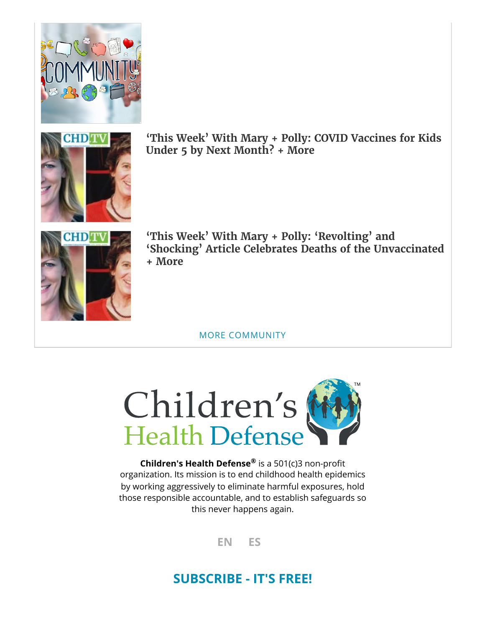



**'This Week' With Mary + Polly: COVID [Vaccines for](https://childrenshealthdefense.org/defender/chd-tv-mary-polly-covid-vaccines-kids-under-five/) Kids Under 5 by Next Month? + More**



**'This Week' With Mary + Polly: 'Revolting' and 'Shocking' Article [Celebrates Deaths of](https://childrenshealthdefense.org/defender/chd-tv-mary-polly-article-celebrates-deaths-unvaccinated/) the Unvaccinated + More**

MORE [COMMUNITY](https://childrenshealthdefense.org/community)



**Children's Health Defense** is a 501(c)3 non-profit **®**organization. Its mission is to end childhood health epidemics by working aggressively to eliminate harmful exposures, hold those responsible accountable, and to establish safeguards so this never happens again.

**[EN](https://childrenshealthdefense.org/defender/fda-eight-months-produce-pfizer-safety-data/) [ES](https://childrenshealthdefense.org/defender/el-juez-da-a-la-fda-8-meses-no-75-anos-para-presentar-los-datos-de-seguridad-de-pfizer/?lang=es)**

# **[SUBSCRIBE](https://childrenshealthdefense.org/about-us/sign-up) - IT'S FREE!**